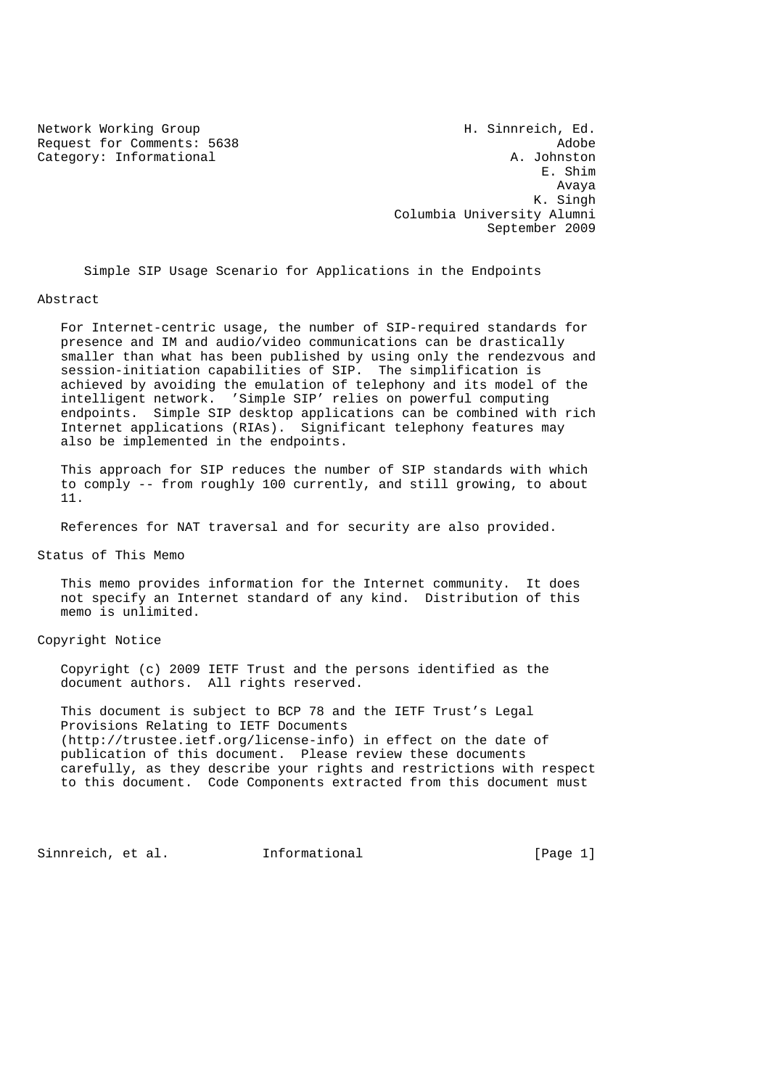Request for Comments: 5638 Adobe Category: Informational A. Johnston

Network Working Group Network Working Group H. Sinnreich, Ed. E. Shim Avaya K. Singh Columbia University Alumni September 2009

Simple SIP Usage Scenario for Applications in the Endpoints

#### Abstract

 For Internet-centric usage, the number of SIP-required standards for presence and IM and audio/video communications can be drastically smaller than what has been published by using only the rendezvous and session-initiation capabilities of SIP. The simplification is achieved by avoiding the emulation of telephony and its model of the intelligent network. 'Simple SIP' relies on powerful computing endpoints. Simple SIP desktop applications can be combined with rich Internet applications (RIAs). Significant telephony features may also be implemented in the endpoints.

 This approach for SIP reduces the number of SIP standards with which to comply -- from roughly 100 currently, and still growing, to about 11.

References for NAT traversal and for security are also provided.

Status of This Memo

 This memo provides information for the Internet community. It does not specify an Internet standard of any kind. Distribution of this memo is unlimited.

Copyright Notice

 Copyright (c) 2009 IETF Trust and the persons identified as the document authors. All rights reserved.

 This document is subject to BCP 78 and the IETF Trust's Legal Provisions Relating to IETF Documents (http://trustee.ietf.org/license-info) in effect on the date of publication of this document. Please review these documents carefully, as they describe your rights and restrictions with respect to this document. Code Components extracted from this document must

Sinnreich, et al. Informational [Page 1]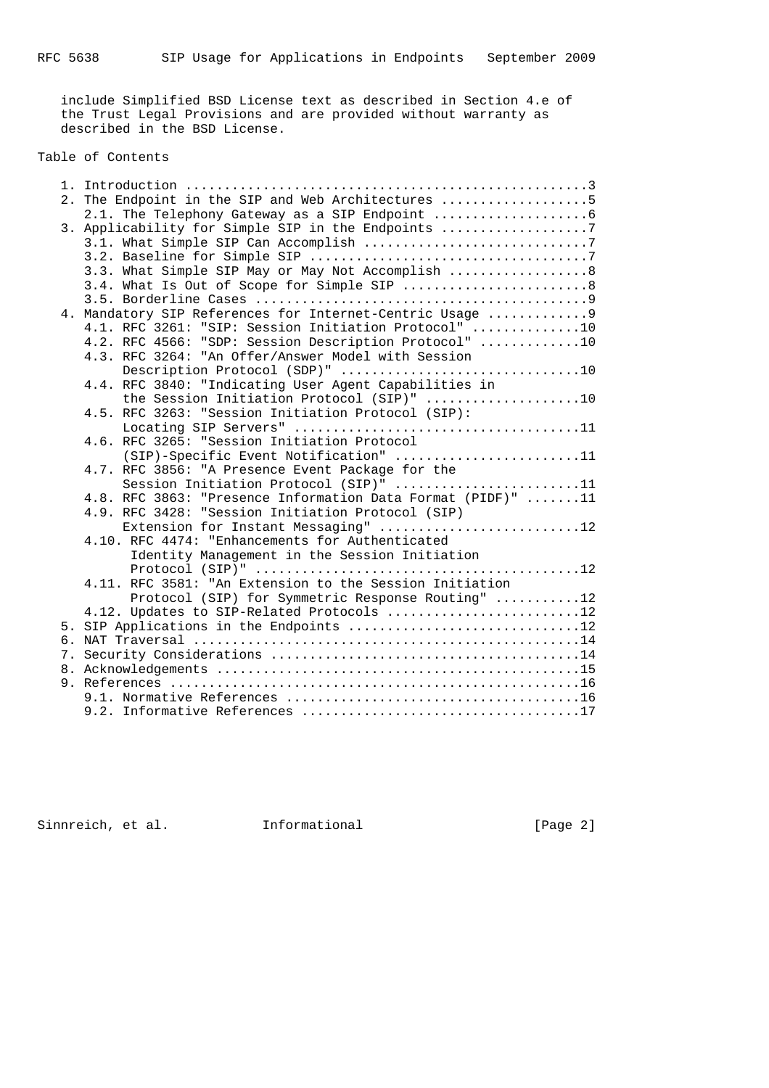include Simplified BSD License text as described in Section 4.e of the Trust Legal Provisions and are provided without warranty as described in the BSD License.

# Table of Contents

|  | 2. The Endpoint in the SIP and Web Architectures 5          |
|--|-------------------------------------------------------------|
|  |                                                             |
|  | 3. Applicability for Simple SIP in the Endpoints 7          |
|  |                                                             |
|  |                                                             |
|  | 3.3. What Simple SIP May or May Not Accomplish  8           |
|  | 3.4. What Is Out of Scope for Simple SIP 8                  |
|  |                                                             |
|  | 4. Mandatory SIP References for Internet-Centric Usage  9   |
|  | 4.1. RFC 3261: "SIP: Session Initiation Protocol" 10        |
|  | 4.2. RFC 4566: "SDP: Session Description Protocol" 10       |
|  | 4.3. RFC 3264: "An Offer/Answer Model with Session          |
|  | Description Protocol (SDP)" 10                              |
|  | 4.4. RFC 3840: "Indicating User Agent Capabilities in       |
|  | the Session Initiation Protocol (SIP)" 10                   |
|  | 4.5. RFC 3263: "Session Initiation Protocol (SIP):          |
|  |                                                             |
|  | 4.6. RFC 3265: "Session Initiation Protocol                 |
|  | (SIP)-Specific Event Notification" 11                       |
|  | 4.7. RFC 3856: "A Presence Event Package for the            |
|  | Session Initiation Protocol (SIP)" 11                       |
|  | 4.8. RFC 3863: "Presence Information Data Format (PIDF)" 11 |
|  | 4.9. RFC 3428: "Session Initiation Protocol (SIP)           |
|  | Extension for Instant Messaging" 12                         |
|  | 4.10. RFC 4474: "Enhancements for Authenticated             |
|  | Identity Management in the Session Initiation               |
|  |                                                             |
|  | 4.11. RFC 3581: "An Extension to the Session Initiation     |
|  | Protocol (SIP) for Symmetric Response Routing" 12           |
|  | 4.12. Updates to SIP-Related Protocols 12                   |
|  | 5. SIP Applications in the Endpoints 12                     |
|  |                                                             |
|  |                                                             |
|  |                                                             |
|  |                                                             |
|  |                                                             |
|  |                                                             |
|  |                                                             |

Sinnreich, et al. 1nformational [Page 2]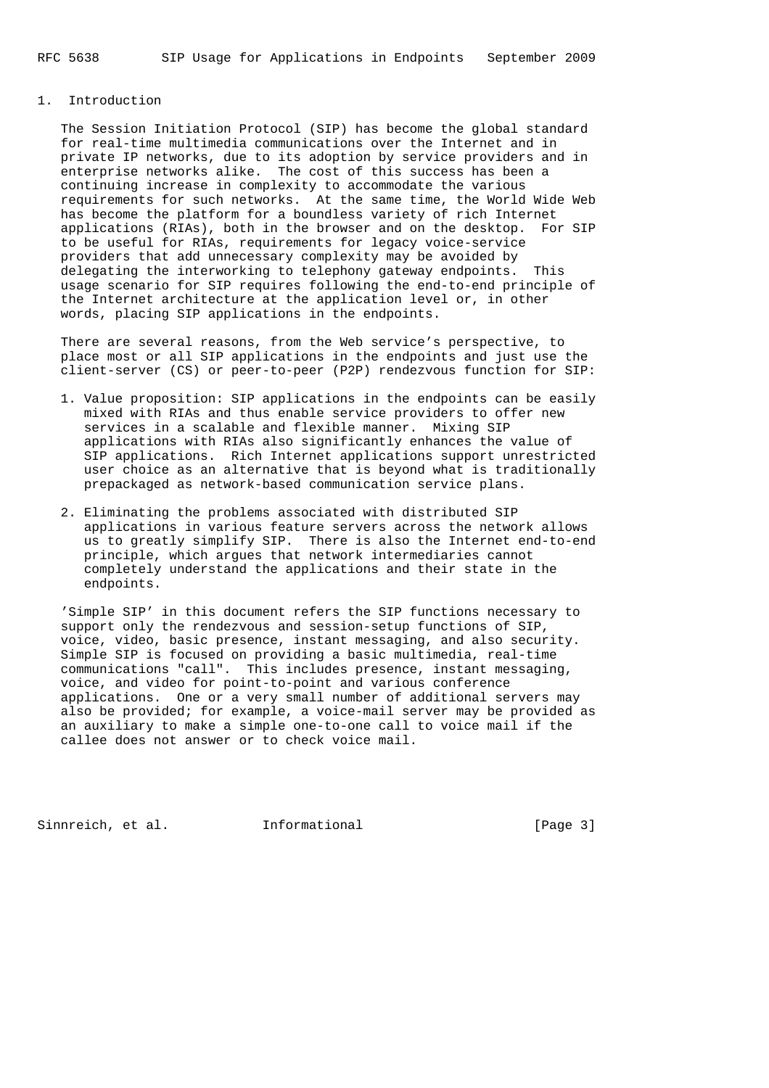## 1. Introduction

 The Session Initiation Protocol (SIP) has become the global standard for real-time multimedia communications over the Internet and in private IP networks, due to its adoption by service providers and in enterprise networks alike. The cost of this success has been a continuing increase in complexity to accommodate the various requirements for such networks. At the same time, the World Wide Web has become the platform for a boundless variety of rich Internet applications (RIAs), both in the browser and on the desktop. For SIP to be useful for RIAs, requirements for legacy voice-service providers that add unnecessary complexity may be avoided by delegating the interworking to telephony gateway endpoints. This usage scenario for SIP requires following the end-to-end principle of the Internet architecture at the application level or, in other words, placing SIP applications in the endpoints.

 There are several reasons, from the Web service's perspective, to place most or all SIP applications in the endpoints and just use the client-server (CS) or peer-to-peer (P2P) rendezvous function for SIP:

- 1. Value proposition: SIP applications in the endpoints can be easily mixed with RIAs and thus enable service providers to offer new services in a scalable and flexible manner. Mixing SIP applications with RIAs also significantly enhances the value of SIP applications. Rich Internet applications support unrestricted user choice as an alternative that is beyond what is traditionally prepackaged as network-based communication service plans.
- 2. Eliminating the problems associated with distributed SIP applications in various feature servers across the network allows us to greatly simplify SIP. There is also the Internet end-to-end principle, which argues that network intermediaries cannot completely understand the applications and their state in the endpoints.

 'Simple SIP' in this document refers the SIP functions necessary to support only the rendezvous and session-setup functions of SIP, voice, video, basic presence, instant messaging, and also security. Simple SIP is focused on providing a basic multimedia, real-time communications "call". This includes presence, instant messaging, voice, and video for point-to-point and various conference applications. One or a very small number of additional servers may also be provided; for example, a voice-mail server may be provided as an auxiliary to make a simple one-to-one call to voice mail if the callee does not answer or to check voice mail.

Sinnreich, et al. 1nformational [Page 3]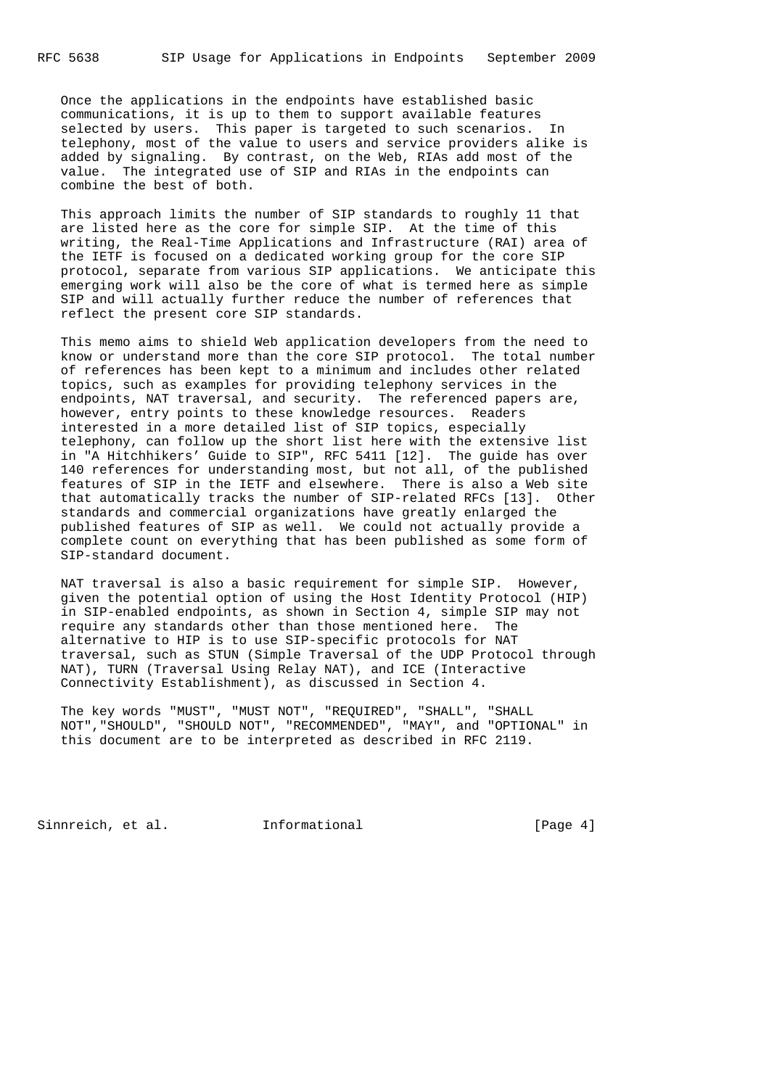Once the applications in the endpoints have established basic communications, it is up to them to support available features selected by users. This paper is targeted to such scenarios. In telephony, most of the value to users and service providers alike is added by signaling. By contrast, on the Web, RIAs add most of the value. The integrated use of SIP and RIAs in the endpoints can combine the best of both.

 This approach limits the number of SIP standards to roughly 11 that are listed here as the core for simple SIP. At the time of this writing, the Real-Time Applications and Infrastructure (RAI) area of the IETF is focused on a dedicated working group for the core SIP protocol, separate from various SIP applications. We anticipate this emerging work will also be the core of what is termed here as simple SIP and will actually further reduce the number of references that reflect the present core SIP standards.

 This memo aims to shield Web application developers from the need to know or understand more than the core SIP protocol. The total number of references has been kept to a minimum and includes other related topics, such as examples for providing telephony services in the endpoints, NAT traversal, and security. The referenced papers are, however, entry points to these knowledge resources. Readers interested in a more detailed list of SIP topics, especially telephony, can follow up the short list here with the extensive list in "A Hitchhikers' Guide to SIP", RFC 5411 [12]. The guide has over 140 references for understanding most, but not all, of the published features of SIP in the IETF and elsewhere. There is also a Web site that automatically tracks the number of SIP-related RFCs [13]. Other standards and commercial organizations have greatly enlarged the published features of SIP as well. We could not actually provide a complete count on everything that has been published as some form of SIP-standard document.

 NAT traversal is also a basic requirement for simple SIP. However, given the potential option of using the Host Identity Protocol (HIP) in SIP-enabled endpoints, as shown in Section 4, simple SIP may not require any standards other than those mentioned here. The alternative to HIP is to use SIP-specific protocols for NAT traversal, such as STUN (Simple Traversal of the UDP Protocol through NAT), TURN (Traversal Using Relay NAT), and ICE (Interactive Connectivity Establishment), as discussed in Section 4.

 The key words "MUST", "MUST NOT", "REQUIRED", "SHALL", "SHALL NOT","SHOULD", "SHOULD NOT", "RECOMMENDED", "MAY", and "OPTIONAL" in this document are to be interpreted as described in RFC 2119.

Sinnreich, et al. 1nformational [Page 4]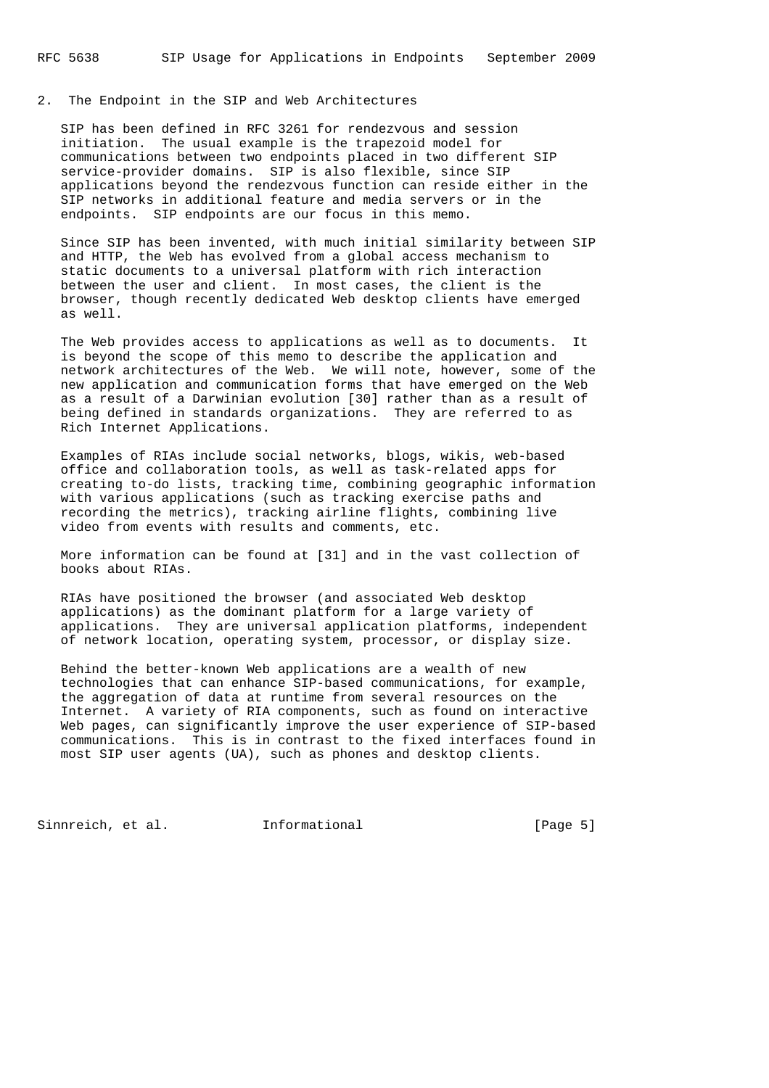### 2. The Endpoint in the SIP and Web Architectures

 SIP has been defined in RFC 3261 for rendezvous and session initiation. The usual example is the trapezoid model for communications between two endpoints placed in two different SIP service-provider domains. SIP is also flexible, since SIP applications beyond the rendezvous function can reside either in the SIP networks in additional feature and media servers or in the endpoints. SIP endpoints are our focus in this memo.

 Since SIP has been invented, with much initial similarity between SIP and HTTP, the Web has evolved from a global access mechanism to static documents to a universal platform with rich interaction between the user and client. In most cases, the client is the browser, though recently dedicated Web desktop clients have emerged as well.

 The Web provides access to applications as well as to documents. It is beyond the scope of this memo to describe the application and network architectures of the Web. We will note, however, some of the new application and communication forms that have emerged on the Web as a result of a Darwinian evolution [30] rather than as a result of being defined in standards organizations. They are referred to as Rich Internet Applications.

 Examples of RIAs include social networks, blogs, wikis, web-based office and collaboration tools, as well as task-related apps for creating to-do lists, tracking time, combining geographic information with various applications (such as tracking exercise paths and recording the metrics), tracking airline flights, combining live video from events with results and comments, etc.

 More information can be found at [31] and in the vast collection of books about RIAs.

 RIAs have positioned the browser (and associated Web desktop applications) as the dominant platform for a large variety of applications. They are universal application platforms, independent of network location, operating system, processor, or display size.

 Behind the better-known Web applications are a wealth of new technologies that can enhance SIP-based communications, for example, the aggregation of data at runtime from several resources on the Internet. A variety of RIA components, such as found on interactive Web pages, can significantly improve the user experience of SIP-based communications. This is in contrast to the fixed interfaces found in most SIP user agents (UA), such as phones and desktop clients.

Sinnreich, et al. 1nformational [Page 5]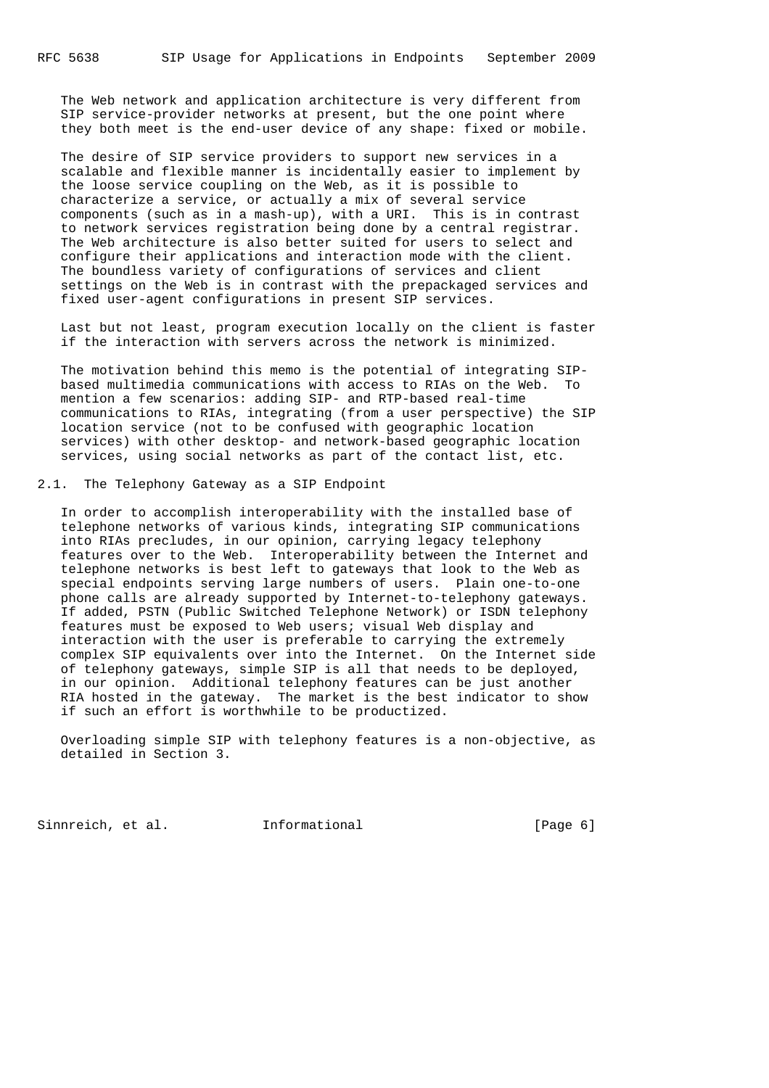The Web network and application architecture is very different from SIP service-provider networks at present, but the one point where they both meet is the end-user device of any shape: fixed or mobile.

 The desire of SIP service providers to support new services in a scalable and flexible manner is incidentally easier to implement by the loose service coupling on the Web, as it is possible to characterize a service, or actually a mix of several service components (such as in a mash-up), with a URI. This is in contrast to network services registration being done by a central registrar. The Web architecture is also better suited for users to select and configure their applications and interaction mode with the client. The boundless variety of configurations of services and client settings on the Web is in contrast with the prepackaged services and fixed user-agent configurations in present SIP services.

 Last but not least, program execution locally on the client is faster if the interaction with servers across the network is minimized.

 The motivation behind this memo is the potential of integrating SIP based multimedia communications with access to RIAs on the Web. To mention a few scenarios: adding SIP- and RTP-based real-time communications to RIAs, integrating (from a user perspective) the SIP location service (not to be confused with geographic location services) with other desktop- and network-based geographic location services, using social networks as part of the contact list, etc.

2.1. The Telephony Gateway as a SIP Endpoint

 In order to accomplish interoperability with the installed base of telephone networks of various kinds, integrating SIP communications into RIAs precludes, in our opinion, carrying legacy telephony features over to the Web. Interoperability between the Internet and telephone networks is best left to gateways that look to the Web as special endpoints serving large numbers of users. Plain one-to-one phone calls are already supported by Internet-to-telephony gateways. If added, PSTN (Public Switched Telephone Network) or ISDN telephony features must be exposed to Web users; visual Web display and interaction with the user is preferable to carrying the extremely complex SIP equivalents over into the Internet. On the Internet side of telephony gateways, simple SIP is all that needs to be deployed, in our opinion. Additional telephony features can be just another RIA hosted in the gateway. The market is the best indicator to show if such an effort is worthwhile to be productized.

 Overloading simple SIP with telephony features is a non-objective, as detailed in Section 3.

Sinnreich, et al. Informational [Page 6]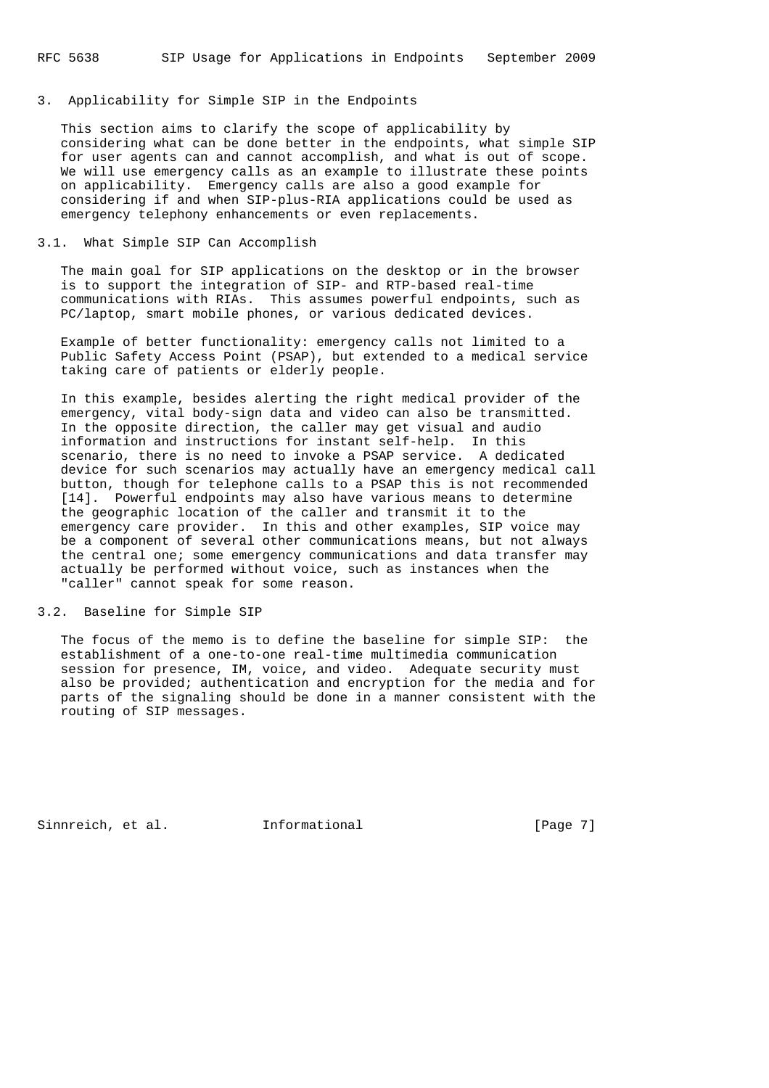### 3. Applicability for Simple SIP in the Endpoints

 This section aims to clarify the scope of applicability by considering what can be done better in the endpoints, what simple SIP for user agents can and cannot accomplish, and what is out of scope. We will use emergency calls as an example to illustrate these points on applicability. Emergency calls are also a good example for considering if and when SIP-plus-RIA applications could be used as emergency telephony enhancements or even replacements.

### 3.1. What Simple SIP Can Accomplish

 The main goal for SIP applications on the desktop or in the browser is to support the integration of SIP- and RTP-based real-time communications with RIAs. This assumes powerful endpoints, such as PC/laptop, smart mobile phones, or various dedicated devices.

 Example of better functionality: emergency calls not limited to a Public Safety Access Point (PSAP), but extended to a medical service taking care of patients or elderly people.

 In this example, besides alerting the right medical provider of the emergency, vital body-sign data and video can also be transmitted. In the opposite direction, the caller may get visual and audio information and instructions for instant self-help. In this scenario, there is no need to invoke a PSAP service. A dedicated device for such scenarios may actually have an emergency medical call button, though for telephone calls to a PSAP this is not recommended [14]. Powerful endpoints may also have various means to determine the geographic location of the caller and transmit it to the emergency care provider. In this and other examples, SIP voice may be a component of several other communications means, but not always the central one; some emergency communications and data transfer may actually be performed without voice, such as instances when the "caller" cannot speak for some reason.

# 3.2. Baseline for Simple SIP

 The focus of the memo is to define the baseline for simple SIP: the establishment of a one-to-one real-time multimedia communication session for presence, IM, voice, and video. Adequate security must also be provided; authentication and encryption for the media and for parts of the signaling should be done in a manner consistent with the routing of SIP messages.

Sinnreich, et al. 1nformational 1999 [Page 7]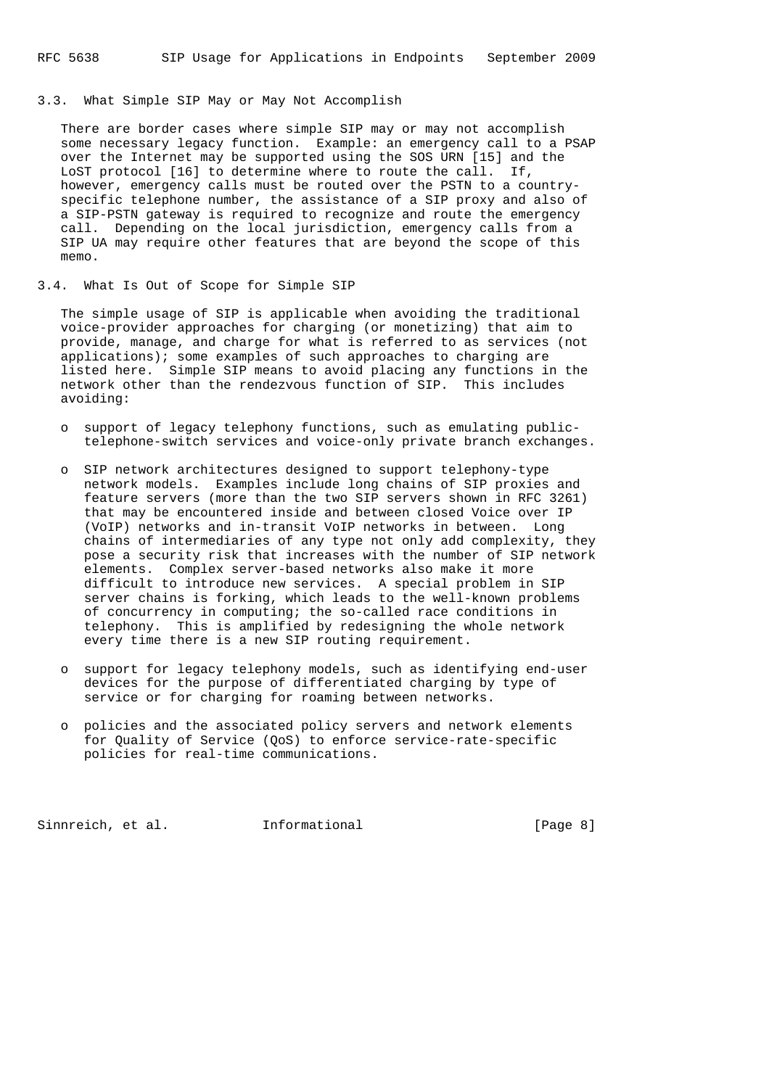#### 3.3. What Simple SIP May or May Not Accomplish

 There are border cases where simple SIP may or may not accomplish some necessary legacy function. Example: an emergency call to a PSAP over the Internet may be supported using the SOS URN [15] and the LoST protocol [16] to determine where to route the call. If, however, emergency calls must be routed over the PSTN to a country specific telephone number, the assistance of a SIP proxy and also of a SIP-PSTN gateway is required to recognize and route the emergency call. Depending on the local jurisdiction, emergency calls from a SIP UA may require other features that are beyond the scope of this memo.

3.4. What Is Out of Scope for Simple SIP

 The simple usage of SIP is applicable when avoiding the traditional voice-provider approaches for charging (or monetizing) that aim to provide, manage, and charge for what is referred to as services (not applications); some examples of such approaches to charging are listed here. Simple SIP means to avoid placing any functions in the network other than the rendezvous function of SIP. This includes avoiding:

- o support of legacy telephony functions, such as emulating public telephone-switch services and voice-only private branch exchanges.
- o SIP network architectures designed to support telephony-type network models. Examples include long chains of SIP proxies and feature servers (more than the two SIP servers shown in RFC 3261) that may be encountered inside and between closed Voice over IP (VoIP) networks and in-transit VoIP networks in between. Long chains of intermediaries of any type not only add complexity, they pose a security risk that increases with the number of SIP network elements. Complex server-based networks also make it more difficult to introduce new services. A special problem in SIP server chains is forking, which leads to the well-known problems of concurrency in computing; the so-called race conditions in telephony. This is amplified by redesigning the whole network every time there is a new SIP routing requirement.
- o support for legacy telephony models, such as identifying end-user devices for the purpose of differentiated charging by type of service or for charging for roaming between networks.
- o policies and the associated policy servers and network elements for Quality of Service (QoS) to enforce service-rate-specific policies for real-time communications.

Sinnreich, et al. Informational [Page 8]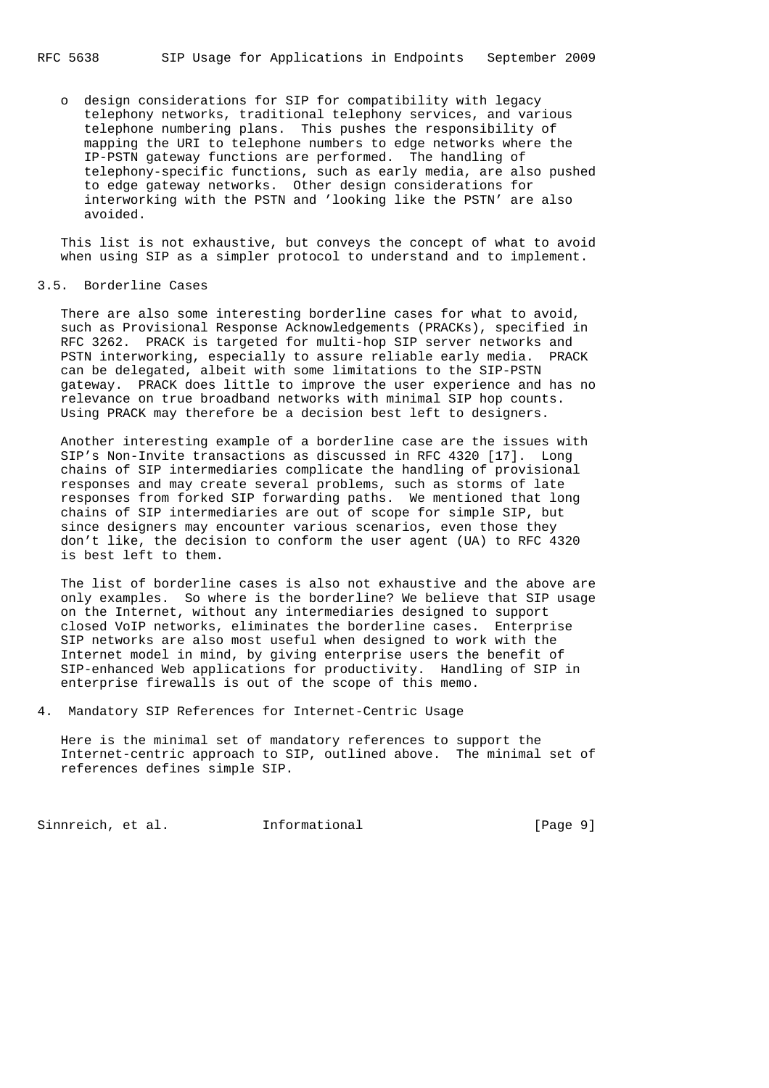o design considerations for SIP for compatibility with legacy telephony networks, traditional telephony services, and various telephone numbering plans. This pushes the responsibility of mapping the URI to telephone numbers to edge networks where the IP-PSTN gateway functions are performed. The handling of telephony-specific functions, such as early media, are also pushed to edge gateway networks. Other design considerations for interworking with the PSTN and 'looking like the PSTN' are also avoided.

 This list is not exhaustive, but conveys the concept of what to avoid when using SIP as a simpler protocol to understand and to implement.

#### 3.5. Borderline Cases

 There are also some interesting borderline cases for what to avoid, such as Provisional Response Acknowledgements (PRACKs), specified in RFC 3262. PRACK is targeted for multi-hop SIP server networks and PSTN interworking, especially to assure reliable early media. PRACK can be delegated, albeit with some limitations to the SIP-PSTN gateway. PRACK does little to improve the user experience and has no relevance on true broadband networks with minimal SIP hop counts. Using PRACK may therefore be a decision best left to designers.

 Another interesting example of a borderline case are the issues with SIP's Non-Invite transactions as discussed in RFC 4320 [17]. Long chains of SIP intermediaries complicate the handling of provisional responses and may create several problems, such as storms of late responses from forked SIP forwarding paths. We mentioned that long chains of SIP intermediaries are out of scope for simple SIP, but since designers may encounter various scenarios, even those they don't like, the decision to conform the user agent (UA) to RFC 4320 is best left to them.

 The list of borderline cases is also not exhaustive and the above are only examples. So where is the borderline? We believe that SIP usage on the Internet, without any intermediaries designed to support closed VoIP networks, eliminates the borderline cases. Enterprise SIP networks are also most useful when designed to work with the Internet model in mind, by giving enterprise users the benefit of SIP-enhanced Web applications for productivity. Handling of SIP in enterprise firewalls is out of the scope of this memo.

4. Mandatory SIP References for Internet-Centric Usage

 Here is the minimal set of mandatory references to support the Internet-centric approach to SIP, outlined above. The minimal set of references defines simple SIP.

Sinnreich, et al. 1nformational [Page 9]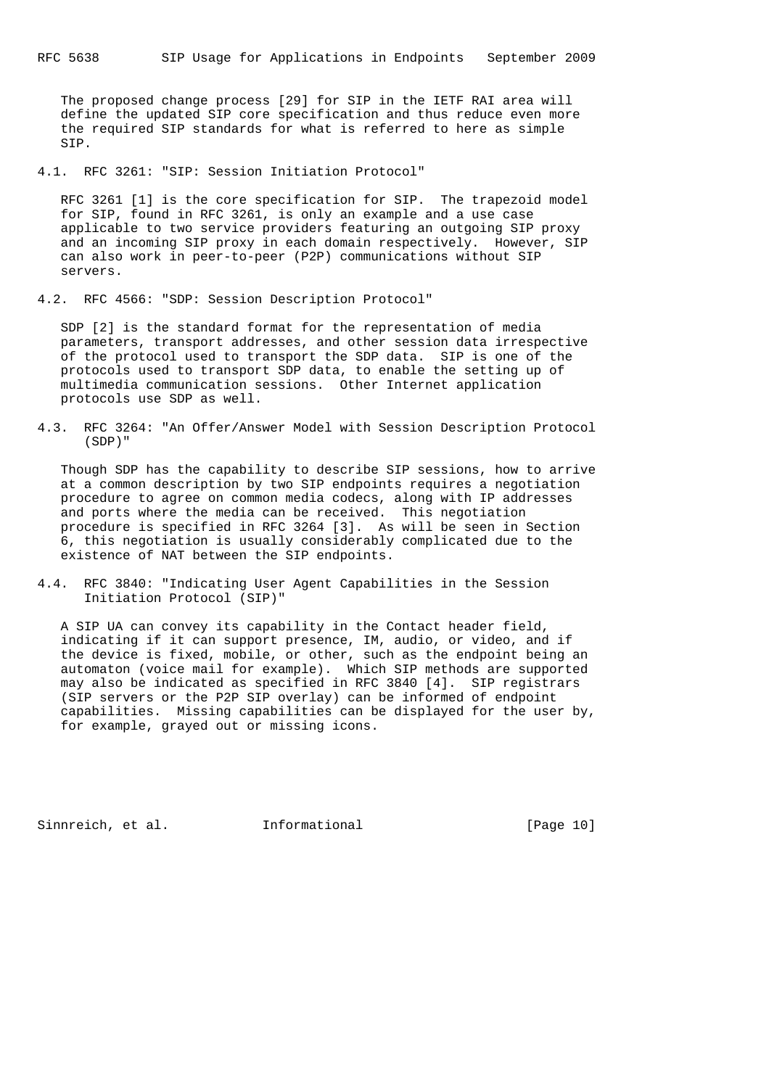The proposed change process [29] for SIP in the IETF RAI area will define the updated SIP core specification and thus reduce even more the required SIP standards for what is referred to here as simple SIP.

4.1. RFC 3261: "SIP: Session Initiation Protocol"

 RFC 3261 [1] is the core specification for SIP. The trapezoid model for SIP, found in RFC 3261, is only an example and a use case applicable to two service providers featuring an outgoing SIP proxy and an incoming SIP proxy in each domain respectively. However, SIP can also work in peer-to-peer (P2P) communications without SIP servers.

4.2. RFC 4566: "SDP: Session Description Protocol"

 SDP [2] is the standard format for the representation of media parameters, transport addresses, and other session data irrespective of the protocol used to transport the SDP data. SIP is one of the protocols used to transport SDP data, to enable the setting up of multimedia communication sessions. Other Internet application protocols use SDP as well.

4.3. RFC 3264: "An Offer/Answer Model with Session Description Protocol (SDP)"

 Though SDP has the capability to describe SIP sessions, how to arrive at a common description by two SIP endpoints requires a negotiation procedure to agree on common media codecs, along with IP addresses and ports where the media can be received. This negotiation procedure is specified in RFC 3264 [3]. As will be seen in Section 6, this negotiation is usually considerably complicated due to the existence of NAT between the SIP endpoints.

4.4. RFC 3840: "Indicating User Agent Capabilities in the Session Initiation Protocol (SIP)"

 A SIP UA can convey its capability in the Contact header field, indicating if it can support presence, IM, audio, or video, and if the device is fixed, mobile, or other, such as the endpoint being an automaton (voice mail for example). Which SIP methods are supported may also be indicated as specified in RFC 3840 [4]. SIP registrars (SIP servers or the P2P SIP overlay) can be informed of endpoint capabilities. Missing capabilities can be displayed for the user by, for example, grayed out or missing icons.

Sinnreich, et al. 1nformational [Page 10]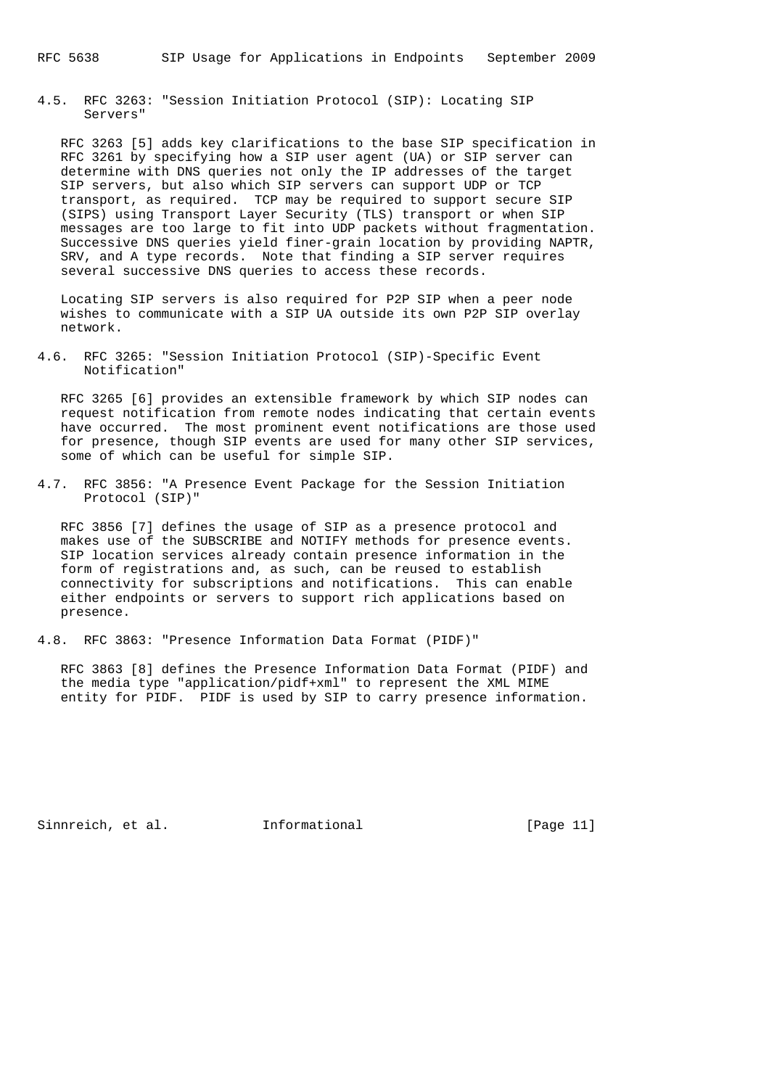4.5. RFC 3263: "Session Initiation Protocol (SIP): Locating SIP Servers"

 RFC 3263 [5] adds key clarifications to the base SIP specification in RFC 3261 by specifying how a SIP user agent (UA) or SIP server can determine with DNS queries not only the IP addresses of the target SIP servers, but also which SIP servers can support UDP or TCP transport, as required. TCP may be required to support secure SIP (SIPS) using Transport Layer Security (TLS) transport or when SIP messages are too large to fit into UDP packets without fragmentation. Successive DNS queries yield finer-grain location by providing NAPTR, SRV, and A type records. Note that finding a SIP server requires several successive DNS queries to access these records.

 Locating SIP servers is also required for P2P SIP when a peer node wishes to communicate with a SIP UA outside its own P2P SIP overlay network.

4.6. RFC 3265: "Session Initiation Protocol (SIP)-Specific Event Notification"

 RFC 3265 [6] provides an extensible framework by which SIP nodes can request notification from remote nodes indicating that certain events have occurred. The most prominent event notifications are those used for presence, though SIP events are used for many other SIP services, some of which can be useful for simple SIP.

4.7. RFC 3856: "A Presence Event Package for the Session Initiation Protocol (SIP)"

 RFC 3856 [7] defines the usage of SIP as a presence protocol and makes use of the SUBSCRIBE and NOTIFY methods for presence events. SIP location services already contain presence information in the form of registrations and, as such, can be reused to establish connectivity for subscriptions and notifications. This can enable either endpoints or servers to support rich applications based on presence.

4.8. RFC 3863: "Presence Information Data Format (PIDF)"

 RFC 3863 [8] defines the Presence Information Data Format (PIDF) and the media type "application/pidf+xml" to represent the XML MIME entity for PIDF. PIDF is used by SIP to carry presence information.

Sinnreich, et al. 1nformational [Page 11]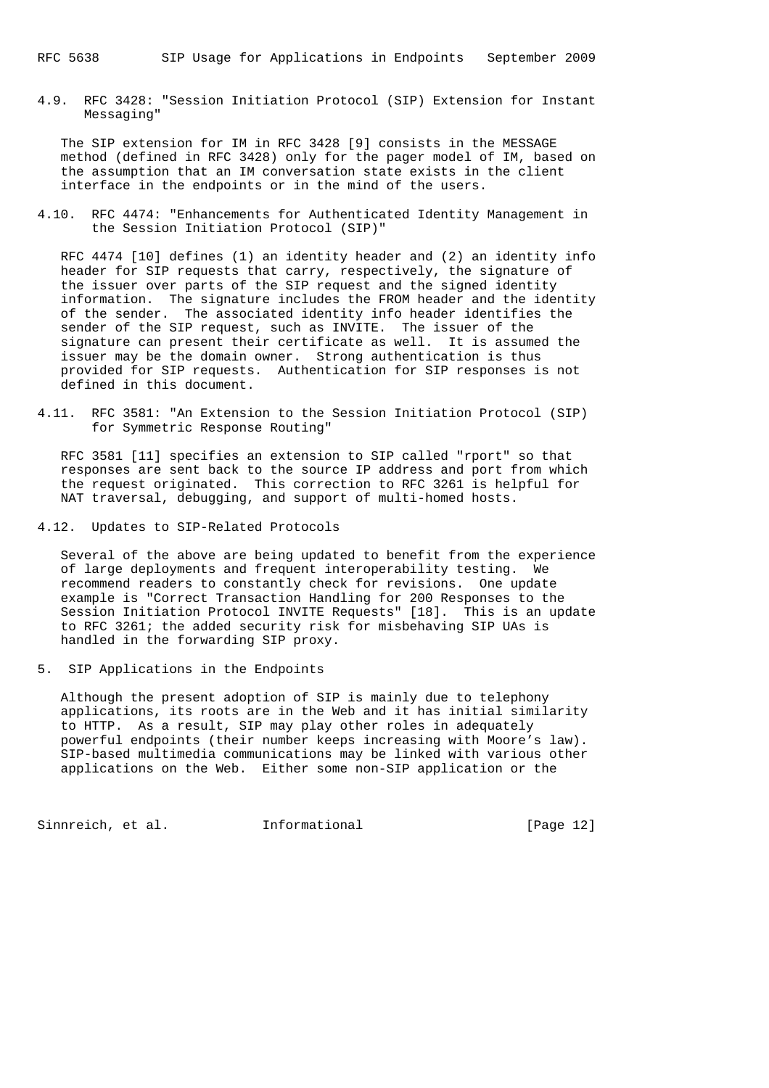4.9. RFC 3428: "Session Initiation Protocol (SIP) Extension for Instant Messaging"

 The SIP extension for IM in RFC 3428 [9] consists in the MESSAGE method (defined in RFC 3428) only for the pager model of IM, based on the assumption that an IM conversation state exists in the client interface in the endpoints or in the mind of the users.

4.10. RFC 4474: "Enhancements for Authenticated Identity Management in the Session Initiation Protocol (SIP)"

 RFC 4474 [10] defines (1) an identity header and (2) an identity info header for SIP requests that carry, respectively, the signature of the issuer over parts of the SIP request and the signed identity information. The signature includes the FROM header and the identity of the sender. The associated identity info header identifies the sender of the SIP request, such as INVITE. The issuer of the signature can present their certificate as well. It is assumed the issuer may be the domain owner. Strong authentication is thus provided for SIP requests. Authentication for SIP responses is not defined in this document.

4.11. RFC 3581: "An Extension to the Session Initiation Protocol (SIP) for Symmetric Response Routing"

 RFC 3581 [11] specifies an extension to SIP called "rport" so that responses are sent back to the source IP address and port from which the request originated. This correction to RFC 3261 is helpful for NAT traversal, debugging, and support of multi-homed hosts.

4.12. Updates to SIP-Related Protocols

 Several of the above are being updated to benefit from the experience of large deployments and frequent interoperability testing. We recommend readers to constantly check for revisions. One update example is "Correct Transaction Handling for 200 Responses to the Session Initiation Protocol INVITE Requests" [18]. This is an update to RFC 3261; the added security risk for misbehaving SIP UAs is handled in the forwarding SIP proxy.

5. SIP Applications in the Endpoints

 Although the present adoption of SIP is mainly due to telephony applications, its roots are in the Web and it has initial similarity to HTTP. As a result, SIP may play other roles in adequately powerful endpoints (their number keeps increasing with Moore's law). SIP-based multimedia communications may be linked with various other applications on the Web. Either some non-SIP application or the

Sinnreich, et al. 1nformational [Page 12]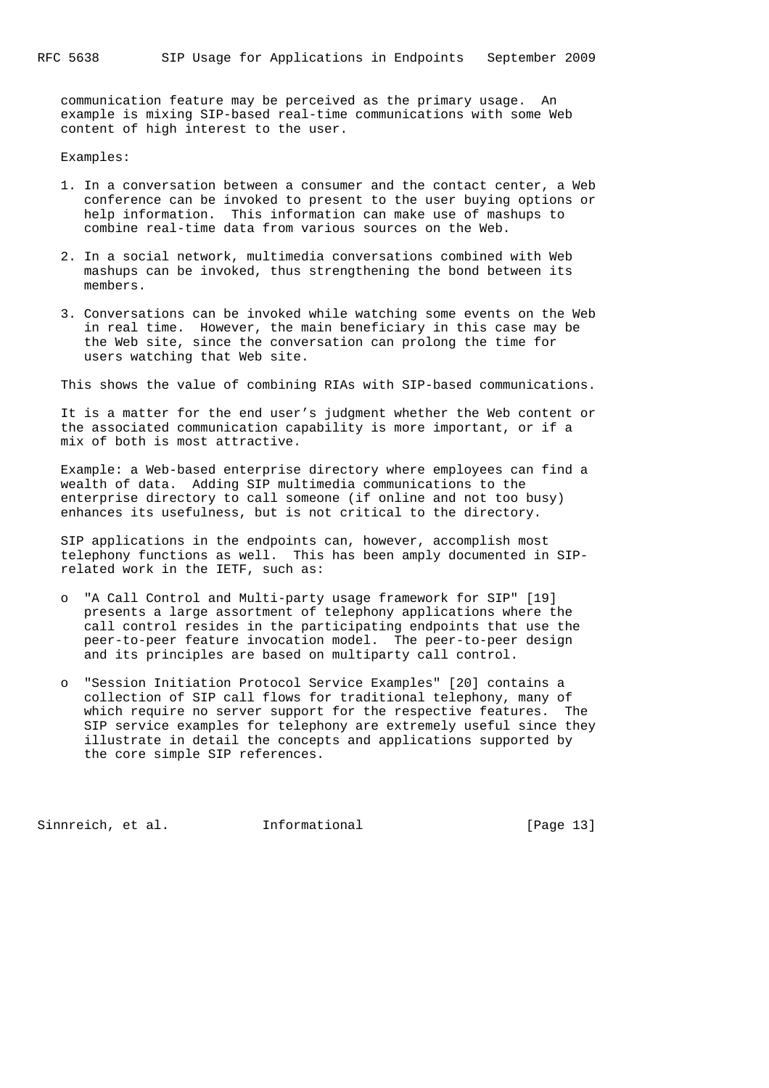communication feature may be perceived as the primary usage. An example is mixing SIP-based real-time communications with some Web content of high interest to the user.

Examples:

- 1. In a conversation between a consumer and the contact center, a Web conference can be invoked to present to the user buying options or help information. This information can make use of mashups to combine real-time data from various sources on the Web.
- 2. In a social network, multimedia conversations combined with Web mashups can be invoked, thus strengthening the bond between its members.
- 3. Conversations can be invoked while watching some events on the Web in real time. However, the main beneficiary in this case may be the Web site, since the conversation can prolong the time for users watching that Web site.

This shows the value of combining RIAs with SIP-based communications.

 It is a matter for the end user's judgment whether the Web content or the associated communication capability is more important, or if a mix of both is most attractive.

 Example: a Web-based enterprise directory where employees can find a wealth of data. Adding SIP multimedia communications to the enterprise directory to call someone (if online and not too busy) enhances its usefulness, but is not critical to the directory.

 SIP applications in the endpoints can, however, accomplish most telephony functions as well. This has been amply documented in SIP related work in the IETF, such as:

- o "A Call Control and Multi-party usage framework for SIP" [19] presents a large assortment of telephony applications where the call control resides in the participating endpoints that use the peer-to-peer feature invocation model. The peer-to-peer design and its principles are based on multiparty call control.
- o "Session Initiation Protocol Service Examples" [20] contains a collection of SIP call flows for traditional telephony, many of which require no server support for the respective features. The SIP service examples for telephony are extremely useful since they illustrate in detail the concepts and applications supported by the core simple SIP references.

Sinnreich, et al. 1nformational [Page 13]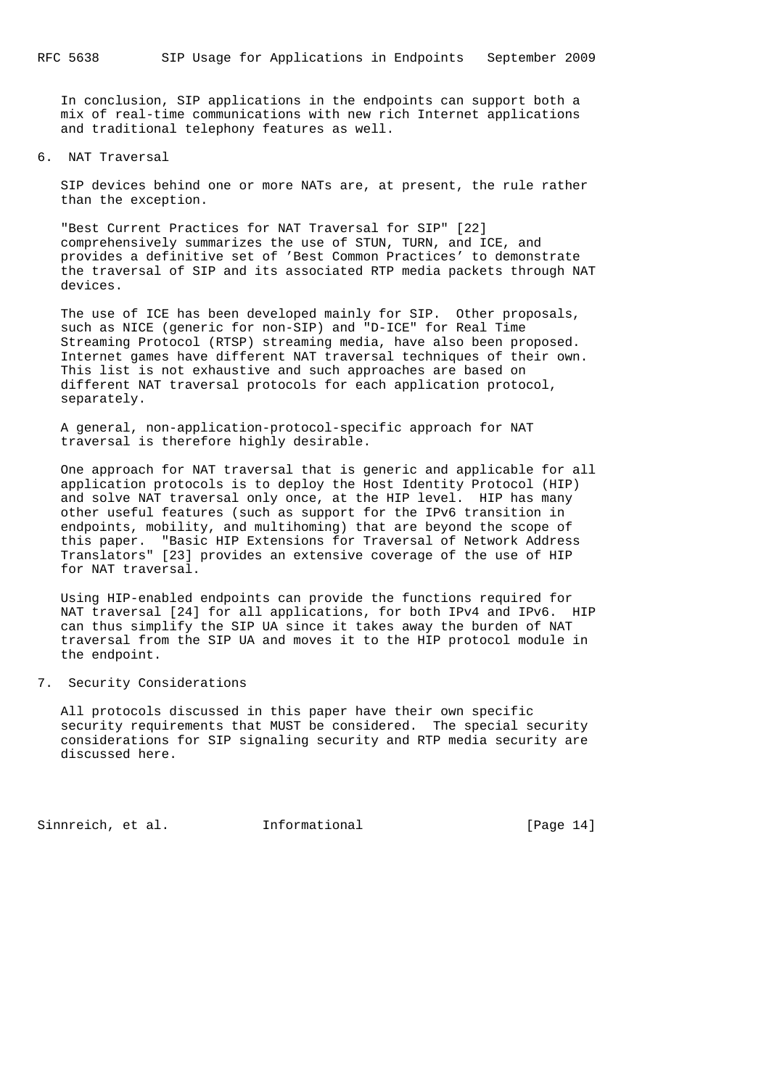In conclusion, SIP applications in the endpoints can support both a mix of real-time communications with new rich Internet applications and traditional telephony features as well.

6. NAT Traversal

 SIP devices behind one or more NATs are, at present, the rule rather than the exception.

 "Best Current Practices for NAT Traversal for SIP" [22] comprehensively summarizes the use of STUN, TURN, and ICE, and provides a definitive set of 'Best Common Practices' to demonstrate the traversal of SIP and its associated RTP media packets through NAT devices.

 The use of ICE has been developed mainly for SIP. Other proposals, such as NICE (generic for non-SIP) and "D-ICE" for Real Time Streaming Protocol (RTSP) streaming media, have also been proposed. Internet games have different NAT traversal techniques of their own. This list is not exhaustive and such approaches are based on different NAT traversal protocols for each application protocol, separately.

 A general, non-application-protocol-specific approach for NAT traversal is therefore highly desirable.

 One approach for NAT traversal that is generic and applicable for all application protocols is to deploy the Host Identity Protocol (HIP) and solve NAT traversal only once, at the HIP level. HIP has many other useful features (such as support for the IPv6 transition in endpoints, mobility, and multihoming) that are beyond the scope of this paper. "Basic HIP Extensions for Traversal of Network Address Translators" [23] provides an extensive coverage of the use of HIP for NAT traversal.

 Using HIP-enabled endpoints can provide the functions required for NAT traversal [24] for all applications, for both IPv4 and IPv6. HIP can thus simplify the SIP UA since it takes away the burden of NAT traversal from the SIP UA and moves it to the HIP protocol module in the endpoint.

# 7. Security Considerations

 All protocols discussed in this paper have their own specific security requirements that MUST be considered. The special security considerations for SIP signaling security and RTP media security are discussed here.

Sinnreich, et al. 1nformational [Page 14]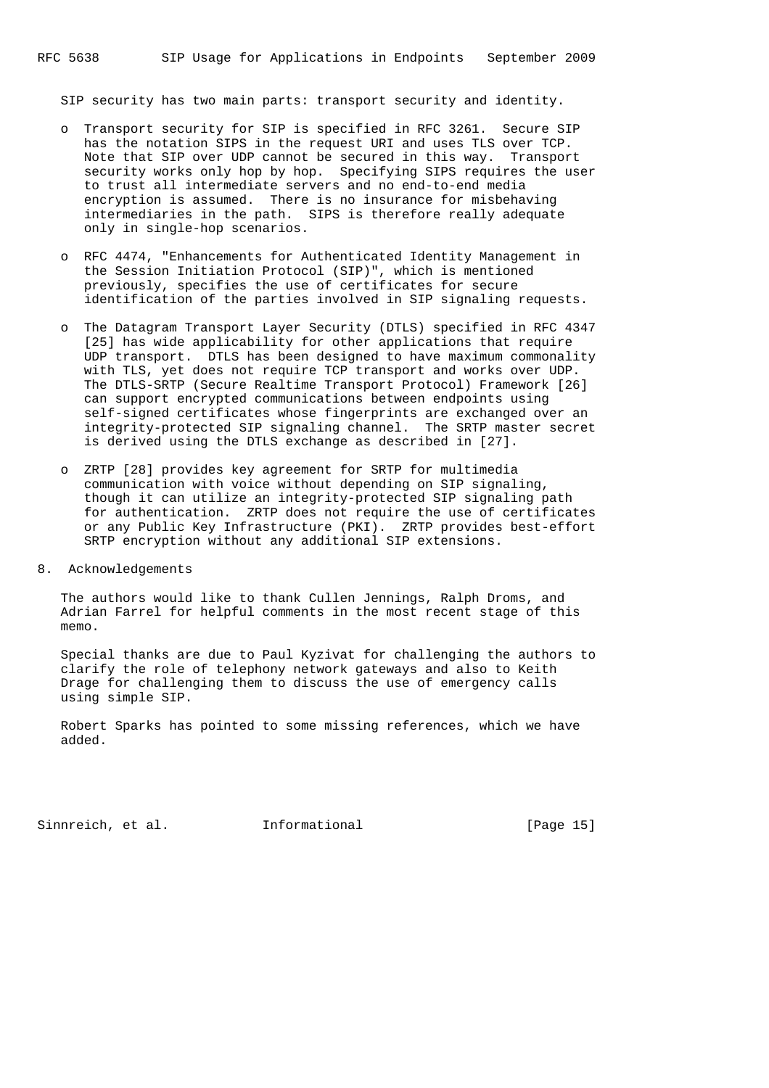SIP security has two main parts: transport security and identity.

- o Transport security for SIP is specified in RFC 3261. Secure SIP has the notation SIPS in the request URI and uses TLS over TCP. Note that SIP over UDP cannot be secured in this way. Transport security works only hop by hop. Specifying SIPS requires the user to trust all intermediate servers and no end-to-end media encryption is assumed. There is no insurance for misbehaving intermediaries in the path. SIPS is therefore really adequate only in single-hop scenarios.
- o RFC 4474, "Enhancements for Authenticated Identity Management in the Session Initiation Protocol (SIP)", which is mentioned previously, specifies the use of certificates for secure identification of the parties involved in SIP signaling requests.
- o The Datagram Transport Layer Security (DTLS) specified in RFC 4347 [25] has wide applicability for other applications that require UDP transport. DTLS has been designed to have maximum commonality with TLS, yet does not require TCP transport and works over UDP. The DTLS-SRTP (Secure Realtime Transport Protocol) Framework [26] can support encrypted communications between endpoints using self-signed certificates whose fingerprints are exchanged over an integrity-protected SIP signaling channel. The SRTP master secret is derived using the DTLS exchange as described in [27].
- o ZRTP [28] provides key agreement for SRTP for multimedia communication with voice without depending on SIP signaling, though it can utilize an integrity-protected SIP signaling path for authentication. ZRTP does not require the use of certificates or any Public Key Infrastructure (PKI). ZRTP provides best-effort SRTP encryption without any additional SIP extensions.
- 8. Acknowledgements

 The authors would like to thank Cullen Jennings, Ralph Droms, and Adrian Farrel for helpful comments in the most recent stage of this memo.

 Special thanks are due to Paul Kyzivat for challenging the authors to clarify the role of telephony network gateways and also to Keith Drage for challenging them to discuss the use of emergency calls using simple SIP.

 Robert Sparks has pointed to some missing references, which we have added.

Sinnreich, et al. 1nformational [Page 15]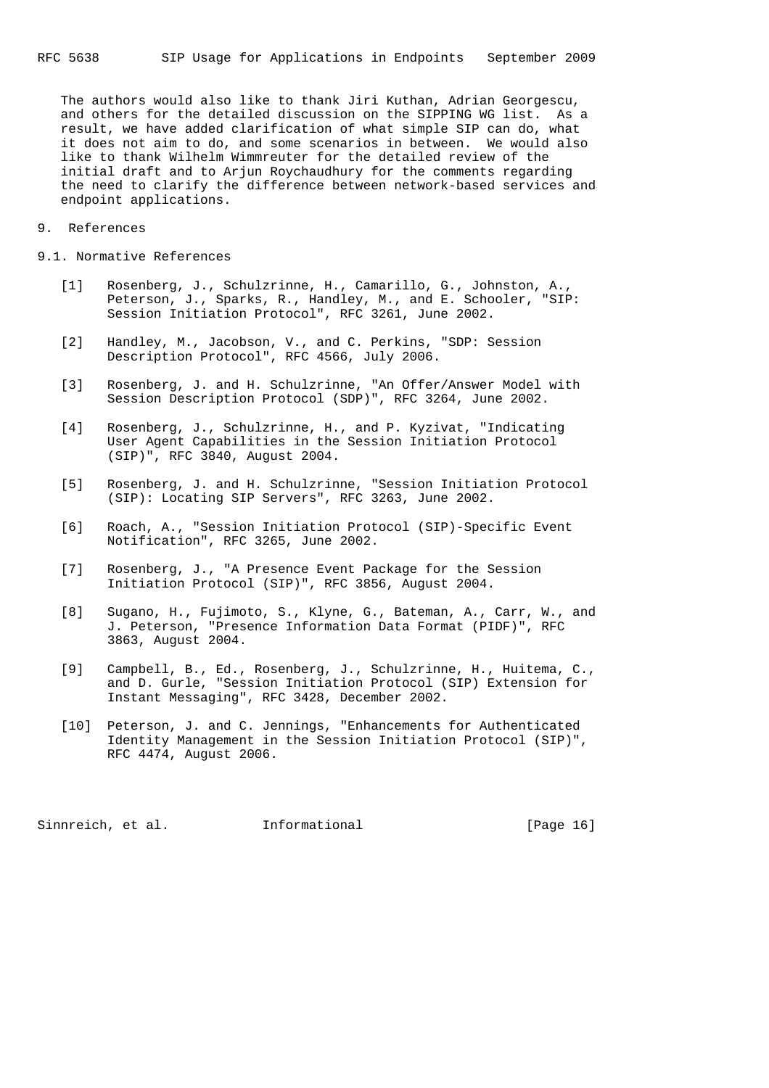The authors would also like to thank Jiri Kuthan, Adrian Georgescu, and others for the detailed discussion on the SIPPING WG list. As a result, we have added clarification of what simple SIP can do, what it does not aim to do, and some scenarios in between. We would also like to thank Wilhelm Wimmreuter for the detailed review of the initial draft and to Arjun Roychaudhury for the comments regarding the need to clarify the difference between network-based services and endpoint applications.

9. References

9.1. Normative References

- [1] Rosenberg, J., Schulzrinne, H., Camarillo, G., Johnston, A., Peterson, J., Sparks, R., Handley, M., and E. Schooler, "SIP: Session Initiation Protocol", RFC 3261, June 2002.
- [2] Handley, M., Jacobson, V., and C. Perkins, "SDP: Session Description Protocol", RFC 4566, July 2006.
- [3] Rosenberg, J. and H. Schulzrinne, "An Offer/Answer Model with Session Description Protocol (SDP)", RFC 3264, June 2002.
- [4] Rosenberg, J., Schulzrinne, H., and P. Kyzivat, "Indicating User Agent Capabilities in the Session Initiation Protocol (SIP)", RFC 3840, August 2004.
- [5] Rosenberg, J. and H. Schulzrinne, "Session Initiation Protocol (SIP): Locating SIP Servers", RFC 3263, June 2002.
- [6] Roach, A., "Session Initiation Protocol (SIP)-Specific Event Notification", RFC 3265, June 2002.
- [7] Rosenberg, J., "A Presence Event Package for the Session Initiation Protocol (SIP)", RFC 3856, August 2004.
- [8] Sugano, H., Fujimoto, S., Klyne, G., Bateman, A., Carr, W., and J. Peterson, "Presence Information Data Format (PIDF)", RFC 3863, August 2004.
- [9] Campbell, B., Ed., Rosenberg, J., Schulzrinne, H., Huitema, C., and D. Gurle, "Session Initiation Protocol (SIP) Extension for Instant Messaging", RFC 3428, December 2002.
- [10] Peterson, J. and C. Jennings, "Enhancements for Authenticated Identity Management in the Session Initiation Protocol (SIP)", RFC 4474, August 2006.

Sinnreich, et al. 1nformational [Page 16]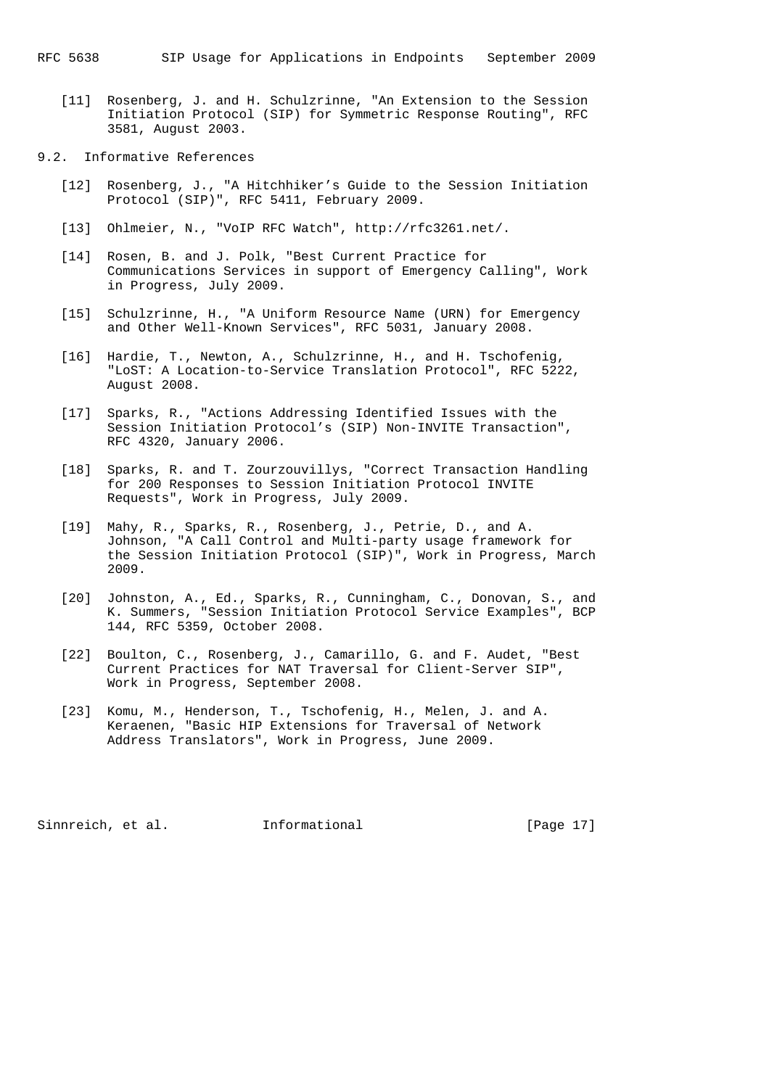[11] Rosenberg, J. and H. Schulzrinne, "An Extension to the Session Initiation Protocol (SIP) for Symmetric Response Routing", RFC 3581, August 2003.

# 9.2. Informative References

- [12] Rosenberg, J., "A Hitchhiker's Guide to the Session Initiation Protocol (SIP)", RFC 5411, February 2009.
- [13] Ohlmeier, N., "VoIP RFC Watch", http://rfc3261.net/.
- [14] Rosen, B. and J. Polk, "Best Current Practice for Communications Services in support of Emergency Calling", Work in Progress, July 2009.
- [15] Schulzrinne, H., "A Uniform Resource Name (URN) for Emergency and Other Well-Known Services", RFC 5031, January 2008.
- [16] Hardie, T., Newton, A., Schulzrinne, H., and H. Tschofenig, "LoST: A Location-to-Service Translation Protocol", RFC 5222, August 2008.
- [17] Sparks, R., "Actions Addressing Identified Issues with the Session Initiation Protocol's (SIP) Non-INVITE Transaction", RFC 4320, January 2006.
- [18] Sparks, R. and T. Zourzouvillys, "Correct Transaction Handling for 200 Responses to Session Initiation Protocol INVITE Requests", Work in Progress, July 2009.
- [19] Mahy, R., Sparks, R., Rosenberg, J., Petrie, D., and A. Johnson, "A Call Control and Multi-party usage framework for the Session Initiation Protocol (SIP)", Work in Progress, March 2009.
- [20] Johnston, A., Ed., Sparks, R., Cunningham, C., Donovan, S., and K. Summers, "Session Initiation Protocol Service Examples", BCP 144, RFC 5359, October 2008.
- [22] Boulton, C., Rosenberg, J., Camarillo, G. and F. Audet, "Best Current Practices for NAT Traversal for Client-Server SIP", Work in Progress, September 2008.
- [23] Komu, M., Henderson, T., Tschofenig, H., Melen, J. and A. Keraenen, "Basic HIP Extensions for Traversal of Network Address Translators", Work in Progress, June 2009.

Sinnreich, et al. 1nformational [Page 17]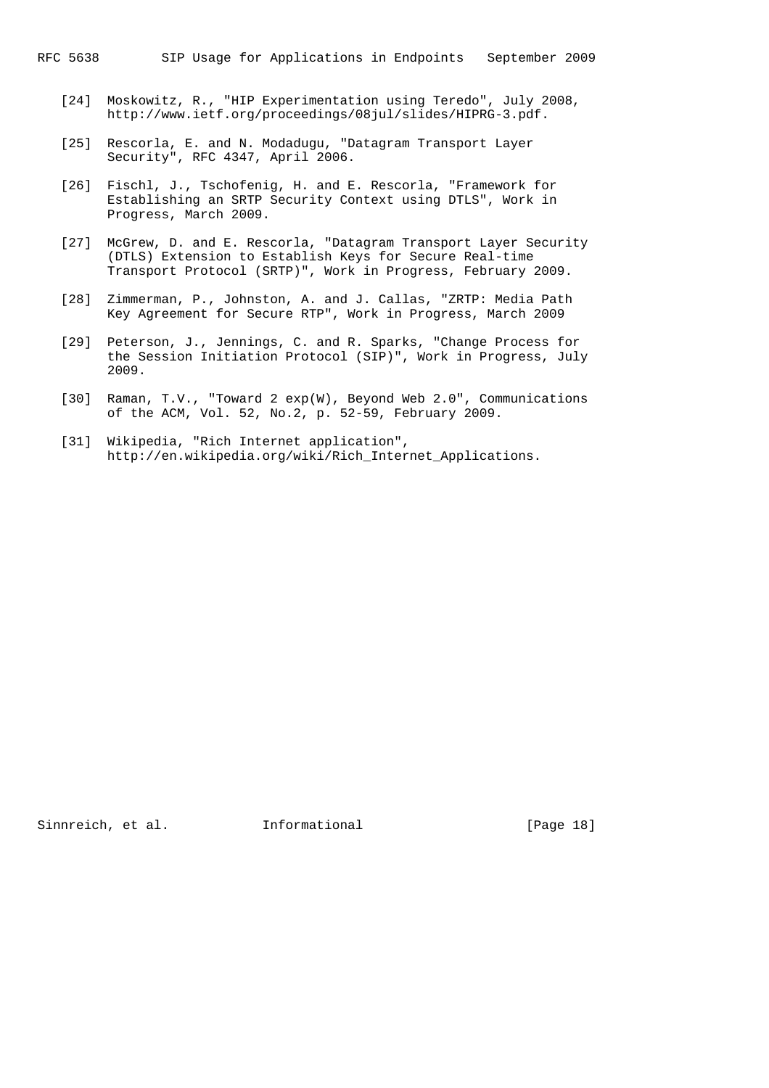- [24] Moskowitz, R., "HIP Experimentation using Teredo", July 2008, http://www.ietf.org/proceedings/08jul/slides/HIPRG-3.pdf.
- [25] Rescorla, E. and N. Modadugu, "Datagram Transport Layer Security", RFC 4347, April 2006.
- [26] Fischl, J., Tschofenig, H. and E. Rescorla, "Framework for Establishing an SRTP Security Context using DTLS", Work in Progress, March 2009.
- [27] McGrew, D. and E. Rescorla, "Datagram Transport Layer Security (DTLS) Extension to Establish Keys for Secure Real-time Transport Protocol (SRTP)", Work in Progress, February 2009.
- [28] Zimmerman, P., Johnston, A. and J. Callas, "ZRTP: Media Path Key Agreement for Secure RTP", Work in Progress, March 2009
- [29] Peterson, J., Jennings, C. and R. Sparks, "Change Process for the Session Initiation Protocol (SIP)", Work in Progress, July 2009.
- [30] Raman, T.V., "Toward 2 exp(W), Beyond Web 2.0", Communications of the ACM, Vol. 52, No.2, p. 52-59, February 2009.
- [31] Wikipedia, "Rich Internet application", http://en.wikipedia.org/wiki/Rich\_Internet\_Applications.

Sinnreich, et al. 1nformational [Page 18]